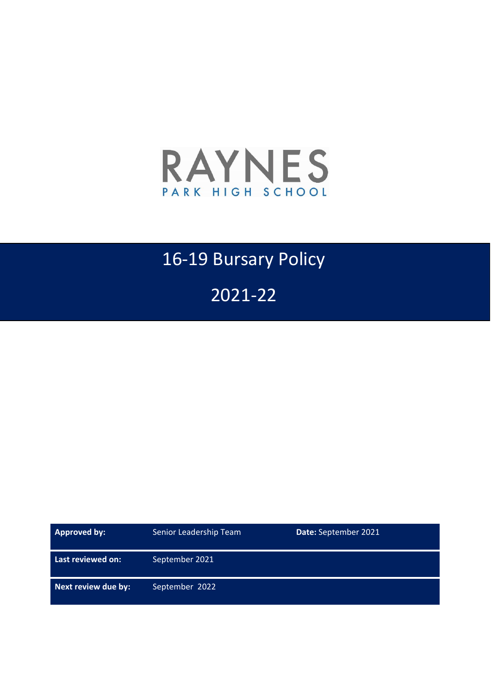

# 16-19 Bursary Policy

2021-22

| <b>Approved by:</b> | Senior Leadership Team<br>Date: September 2021 |  |
|---------------------|------------------------------------------------|--|
| Last reviewed on:   | September 2021                                 |  |
| Next review due by: | September 2022                                 |  |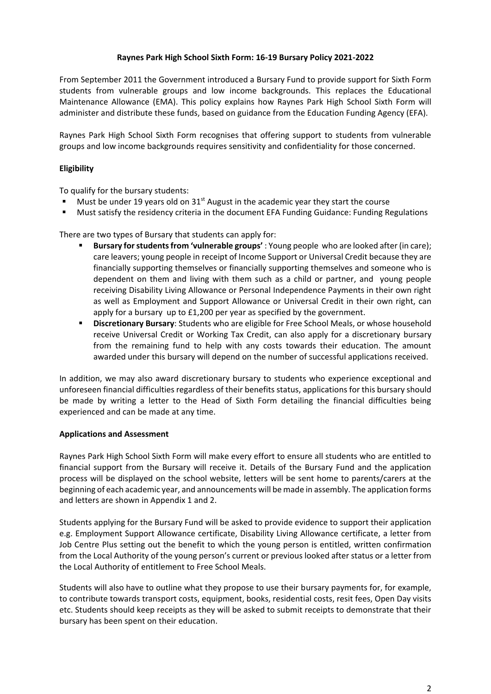# **Raynes Park High School Sixth Form: 16-19 Bursary Policy 2021-2022**

From September 2011 the Government introduced a Bursary Fund to provide support for Sixth Form students from vulnerable groups and low income backgrounds. This replaces the Educational Maintenance Allowance (EMA). This policy explains how Raynes Park High School Sixth Form will administer and distribute these funds, based on guidance from the Education Funding Agency (EFA).

Raynes Park High School Sixth Form recognises that offering support to students from vulnerable groups and low income backgrounds requires sensitivity and confidentiality for those concerned.

# **Eligibility**

To qualify for the bursary students:

- Must be under 19 years old on  $31<sup>st</sup>$  August in the academic year they start the course
- Must satisfy the residency criteria in the document EFA Funding Guidance: Funding Regulations

There are two types of Bursary that students can apply for:

- **Bursary for students from 'vulnerable groups'** : Young people who are looked after (in care); care leavers; young people in receipt of Income Support or Universal Credit because they are financially supporting themselves or financially supporting themselves and someone who is dependent on them and living with them such as a child or partner, and young people receiving Disability Living Allowance or Personal Independence Payments in their own right as well as Employment and Support Allowance or Universal Credit in their own right, can apply for a bursary up to £1,200 per year as specified by the government.
- **Discretionary Bursary**: Students who are eligible for Free School Meals, or whose household receive Universal Credit or Working Tax Credit, can also apply for a discretionary bursary from the remaining fund to help with any costs towards their education. The amount awarded under this bursary will depend on the number of successful applications received.

In addition, we may also award discretionary bursary to students who experience exceptional and unforeseen financial difficulties regardless of their benefits status, applications for this bursary should be made by writing a letter to the Head of Sixth Form detailing the financial difficulties being experienced and can be made at any time.

# **Applications and Assessment**

Raynes Park High School Sixth Form will make every effort to ensure all students who are entitled to financial support from the Bursary will receive it. Details of the Bursary Fund and the application process will be displayed on the school website, letters will be sent home to parents/carers at the beginning of each academic year, and announcements will be made in assembly. The application forms and letters are shown in Appendix 1 and 2.

Students applying for the Bursary Fund will be asked to provide evidence to support their application e.g. Employment Support Allowance certificate, Disability Living Allowance certificate, a letter from Job Centre Plus setting out the benefit to which the young person is entitled, written confirmation from the Local Authority of the young person's current or previous looked after status or a letter from the Local Authority of entitlement to Free School Meals.

Students will also have to outline what they propose to use their bursary payments for, for example, to contribute towards transport costs, equipment, books, residential costs, resit fees, Open Day visits etc. Students should keep receipts as they will be asked to submit receipts to demonstrate that their bursary has been spent on their education.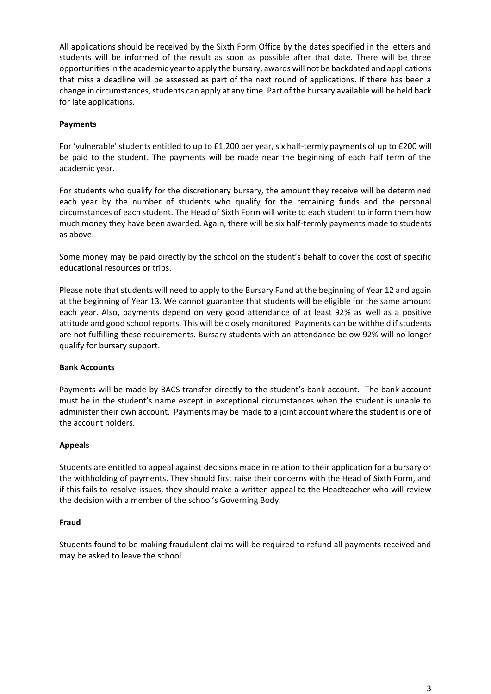All applications should be received by the Sixth Form Office by the dates specified in the letters and students will be informed of the result as soon as possible after that date. There will be three opportunities in the academic year to apply the bursary, awards will not be backdated and applications that miss a deadline will be assessed as part of the next round of applications. If there has been a change in circumstances, students can apply at any time. Part of the bursary available will be held back for late applications.

# **Payments**

For 'vulnerable' students entitled to up to £1,200 per year, six half-termly payments of up to £200 will be paid to the student. The payments will be made near the beginning of each half term of the academic year.

For students who qualify for the discretionary bursary, the amount they receive will be determined each year by the number of students who qualify for the remaining funds and the personal circumstances of each student. The Head of Sixth Form will write to each student to inform them how much money they have been awarded. Again, there will be six half-termly payments made to students as above.

Some money may be paid directly by the school on the student's behalf to cover the cost of specific educational resources or trips.

Please note that students will need to apply to the Bursary Fund at the beginning of Year 12 and again at the beginning of Year 13. We cannot guarantee that students will be eligible for the same amount each year. Also, payments depend on very good attendance of at least 92% as well as a positive attitude and good school reports. This will be closely monitored. Payments can be withheld if students are not fulfilling these requirements. Bursary students with an attendance below 92% will no longer qualify for bursary support.

## **Bank Accounts**

Payments will be made by BACS transfer directly to the student's bank account. The bank account must be in the student's name except in exceptional circumstances when the student is unable to administer their own account. Payments may be made to a joint account where the student is one of the account holders.

## **Appeals**

Students are entitled to appeal against decisions made in relation to their application for a bursary or the withholding of payments. They should first raise their concerns with the Head of Sixth Form, and if this fails to resolve issues, they should make a written appeal to the Headteacher who will review the decision with a member of the school's Governing Body.

## **Fraud**

Students found to be making fraudulent claims will be required to refund all payments received and may be asked to leave the school.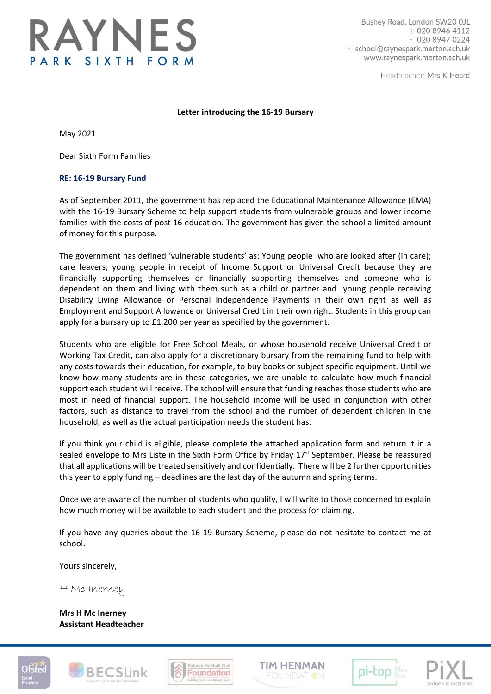

Bushey Road, London SW20 OJL T: 020 8946 4112 F: 020 8947 0224 E: school@raynespark.merton.sch.uk www.raynespark.merton.sch.uk

Headteacher: Mrs K Heard

## **Letter introducing the 16-19 Bursary**

May 2021

Dear Sixth Form Families

#### **RE: 16-19 Bursary Fund**

As of September 2011, the government has replaced the Educational Maintenance Allowance (EMA) with the 16-19 Bursary Scheme to help support students from vulnerable groups and lower income families with the costs of post 16 education. The government has given the school a limited amount of money for this purpose.

The government has defined 'vulnerable students' as: Young people who are looked after (in care); care leavers; young people in receipt of Income Support or Universal Credit because they are financially supporting themselves or financially supporting themselves and someone who is dependent on them and living with them such as a child or partner and young people receiving Disability Living Allowance or Personal Independence Payments in their own right as well as Employment and Support Allowance or Universal Credit in their own right. Students in this group can apply for a bursary up to £1,200 per year as specified by the government.

Students who are eligible for Free School Meals, or whose household receive Universal Credit or Working Tax Credit, can also apply for a discretionary bursary from the remaining fund to help with any costs towards their education, for example, to buy books or subject specific equipment. Until we know how many students are in these categories, we are unable to calculate how much financial support each student will receive. The school will ensure that funding reaches those students who are most in need of financial support. The household income will be used in conjunction with other factors, such as distance to travel from the school and the number of dependent children in the household, as well as the actual participation needs the student has.

If you think your child is eligible, please complete the attached application form and return it in a sealed envelope to Mrs Liste in the Sixth Form Office by Friday 17<sup>st</sup> September. Please be reassured that all applications will be treated sensitively and confidentially. There will be 2 further opportunities this year to apply funding – deadlines are the last day of the autumn and spring terms.

Once we are aware of the number of students who qualify, I will write to those concerned to explain how much money will be available to each student and the process for claiming.

If you have any queries about the 16-19 Bursary Scheme, please do not hesitate to contact me at school.

Yours sincerely,

H Mc Inerney

**Mrs H Mc Inerney Assistant Headteacher**











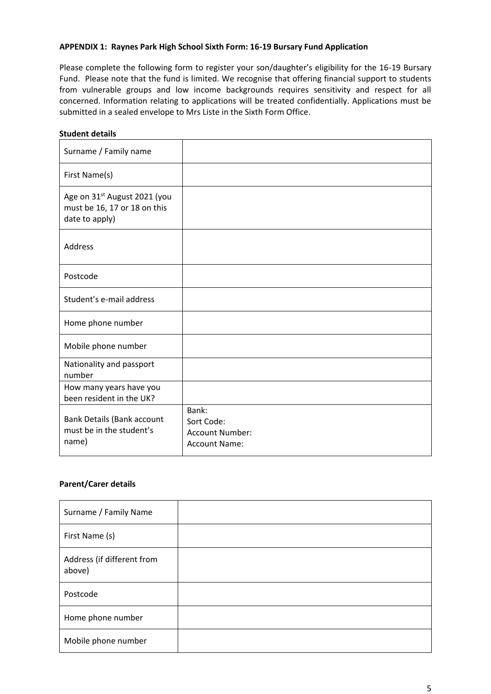# **APPENDIX 1: Raynes Park High School Sixth Form: 16-19 Bursary Fund Application**

Please complete the following form to register your son/daughter's eligibility for the 16-19 Bursary Fund. Please note that the fund is limited. We recognise that offering financial support to students from vulnerable groups and low income backgrounds requires sensitivity and respect for all concerned. Information relating to applications will be treated confidentially. Applications must be submitted in a sealed envelope to Mrs Liste in the Sixth Form Office.

# **Student details**

| Surname / Family name                                                                      |                                                                       |
|--------------------------------------------------------------------------------------------|-----------------------------------------------------------------------|
| First Name(s)                                                                              |                                                                       |
| Age on 31 <sup>st</sup> August 2021 (you<br>must be 16, 17 or 18 on this<br>date to apply) |                                                                       |
| <b>Address</b>                                                                             |                                                                       |
| Postcode                                                                                   |                                                                       |
| Student's e-mail address                                                                   |                                                                       |
| Home phone number                                                                          |                                                                       |
| Mobile phone number                                                                        |                                                                       |
| Nationality and passport<br>number                                                         |                                                                       |
| How many years have you<br>been resident in the UK?                                        |                                                                       |
| Bank Details (Bank account<br>must be in the student's<br>name)                            | Bank:<br>Sort Code:<br><b>Account Number:</b><br><b>Account Name:</b> |

## **Parent/Carer details**

| Surname / Family Name                |  |
|--------------------------------------|--|
| First Name (s)                       |  |
| Address (if different from<br>above) |  |
| Postcode                             |  |
| Home phone number                    |  |
| Mobile phone number                  |  |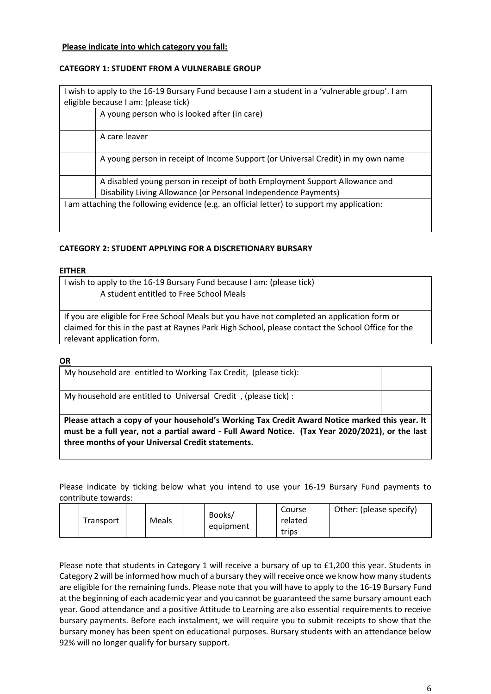# **Please indicate into which category you fall:**

# **CATEGORY 1: STUDENT FROM A VULNERABLE GROUP**

| I wish to apply to the 16-19 Bursary Fund because I am a student in a 'vulnerable group'. I am |
|------------------------------------------------------------------------------------------------|
| eligible because I am: (please tick)                                                           |
| A young person who is looked after (in care)                                                   |
|                                                                                                |
| A care leaver                                                                                  |
|                                                                                                |
| A young person in receipt of Income Support (or Universal Credit) in my own name               |
|                                                                                                |
| A disabled young person in receipt of both Employment Support Allowance and                    |
| Disability Living Allowance (or Personal Independence Payments)                                |
| I am attaching the following evidence (e.g. an official letter) to support my application:     |
|                                                                                                |
|                                                                                                |

# **CATEGORY 2: STUDENT APPLYING FOR A DISCRETIONARY BURSARY**

**three months of your Universal Credit statements.**

### **EITHER**

| I wish to apply to the 16-19 Bursary Fund because I am: (please tick)                             |                                         |  |
|---------------------------------------------------------------------------------------------------|-----------------------------------------|--|
|                                                                                                   | A student entitled to Free School Meals |  |
|                                                                                                   |                                         |  |
| If you are eligible for Free School Meals but you have not completed an application form or       |                                         |  |
| claimed for this in the past at Raynes Park High School, please contact the School Office for the |                                         |  |
|                                                                                                   | relevant application form.              |  |
|                                                                                                   |                                         |  |
| <b>OR</b>                                                                                         |                                         |  |

| My household are entitled to Working Tax Credit, (please tick):                                                                                                                                  |  |
|--------------------------------------------------------------------------------------------------------------------------------------------------------------------------------------------------|--|
| My household are entitled to Universal Credit, (please tick) :                                                                                                                                   |  |
| Please attach a copy of your household's Working Tax Credit Award Notice marked this year. It<br>must be a full year, not a partial award - Full Award Notice. (Tax Year 2020/2021), or the last |  |

Please indicate by ticking below what you intend to use your 16-19 Bursary Fund payments to contribute towards:

| Transport | Meals |  | Books/<br>equipment |  | Course<br>related<br>trips | Other: (please specify) |
|-----------|-------|--|---------------------|--|----------------------------|-------------------------|
|-----------|-------|--|---------------------|--|----------------------------|-------------------------|

Please note that students in Category 1 will receive a bursary of up to £1,200 this year. Students in Category 2 will be informed how much of a bursary they will receive once we know how many students are eligible for the remaining funds. Please note that you will have to apply to the 16-19 Bursary Fund at the beginning of each academic year and you cannot be guaranteed the same bursary amount each year. Good attendance and a positive Attitude to Learning are also essential requirements to receive bursary payments. Before each instalment, we will require you to submit receipts to show that the bursary money has been spent on educational purposes. Bursary students with an attendance below 92% will no longer qualify for bursary support.